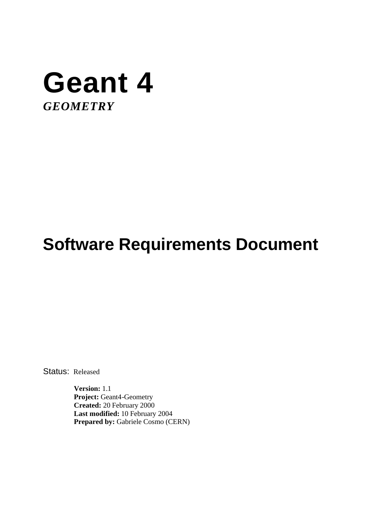

# **Software Requirements Document**

Status: Released

**Version:** 1.1 Project: Geant4-Geometry **Created:** 20 February 2000 **Last modified:** 10 February 2004 Prepared by: Gabriele Cosmo (CERN)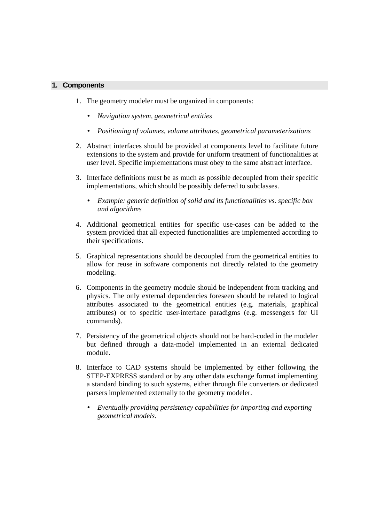## **1. Components**

- 1. The geometry modeler must be organized in components:
	- *Navigation system, geometrical entities*
	- *Positioning of volumes, volume attributes, geometrical parameterizations*
- 2. Abstract interfaces should be provided at components level to facilitate future extensions to the system and provide for uniform treatment of functionalities at user level. Specific implementations must obey to the same abstract interface.
- 3. Interface definitions must be as much as possible decoupled from their specific implementations, which should be possibly deferred to subclasses.
	- *Example: generic definition of solid and its functionalities vs. specific box and algorithms*
- 4. Additional geometrical entities for specific use-cases can be added to the system provided that all expected functionalities are implemented according to their specifications.
- 5. Graphical representations should be decoupled from the geometrical entities to allow for reuse in software components not directly related to the geometry modeling.
- 6. Components in the geometry module should be independent from tracking and physics. The only external dependencies foreseen should be related to logical attributes associated to the geometrical entities (e.g. materials, graphical attributes) or to specific user-interface paradigms (e.g. messengers for UI commands).
- 7. Persistency of the geometrical objects should not be hard-coded in the modeler but defined through a data-model implemented in an external dedicated module.
- 8. Interface to CAD systems should be implemented by either following the STEP-EXPRESS standard or by any other data exchange format implementing a standard binding to such systems, either through file converters or dedicated parsers implemented externally to the geometry modeler.
	- *Eventually providing persistency capabilities for importing and exporting geometrical models.*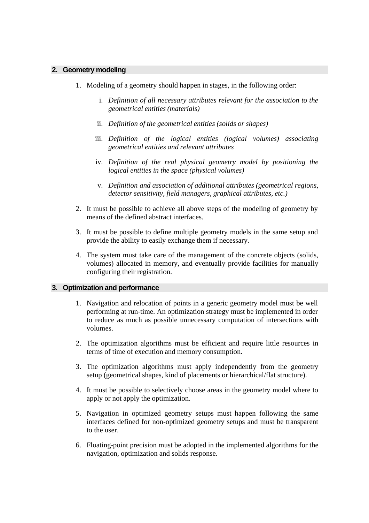## **2. Geometry modeling**

- 1. Modeling of a geometry should happen in stages, in the following order:
	- i. *Definition of all necessary attributes relevant for the association to the geometrical entities (materials)*
	- ii. *Definition of the geometrical entities (solids or shapes)*
	- iii. *Definition of the logical entities (logical volumes) associating geometrical entities and relevant attributes*
	- iv. *Definition of the real physical geometry model by positioning the logical entities in the space (physical volumes)*
	- v. *Definition and association of additional attributes (geometrical regions, detector sensitivity, field managers, graphical attributes, etc.)*
- 2. It must be possible to achieve all above steps of the modeling of geometry by means of the defined abstract interfaces.
- 3. It must be possible to define multiple geometry models in the same setup and provide the ability to easily exchange them if necessary.
- 4. The system must take care of the management of the concrete objects (solids, volumes) allocated in memory, and eventually provide facilities for manually configuring their registration.

#### **3. Optimization and performance**

- 1. Navigation and relocation of points in a generic geometry model must be well performing at run-time. An optimization strategy must be implemented in order to reduce as much as possible unnecessary computation of intersections with volumes.
- 2. The optimization algorithms must be efficient and require little resources in terms of time of execution and memory consumption.
- 3. The optimization algorithms must apply independently from the geometry setup (geometrical shapes, kind of placements or hierarchical/flat structure).
- 4. It must be possible to selectively choose areas in the geometry model where to apply or not apply the optimization.
- 5. Navigation in optimized geometry setups must happen following the same interfaces defined for non-optimized geometry setups and must be transparent to the user.
- 6. Floating-point precision must be adopted in the implemented algorithms for the navigation, optimization and solids response.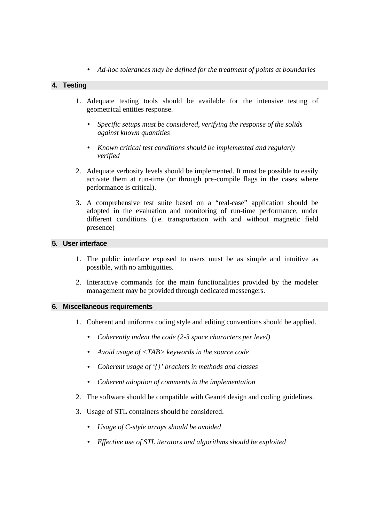• *Ad-hoc tolerances may be defined for the treatment of points at boundaries*

# **4. Testing**

- 1. Adequate testing tools should be available for the intensive testing of geometrical entities response.
	- *Specific setups must be considered, verifying the response of the solids against known quantities*
	- *Known critical test conditions should be implemented and regularly verified*
- 2. Adequate verbosity levels should be implemented. It must be possible to easily activate them at run-time (or through pre-compile flags in the cases where performance is critical).
- 3. A comprehensive test suite based on a "real-case" application should be adopted in the evaluation and monitoring of run-time performance, under different conditions (i.e. transportation with and without magnetic field presence)

# **5. User interface**

- 1. The public interface exposed to users must be as simple and intuitive as possible, with no ambiguities.
- 2. Interactive commands for the main functionalities provided by the modeler management may be provided through dedicated messengers.

#### **6. Miscellaneous requirements**

- 1. Coherent and uniforms coding style and editing conventions should be applied.
	- *Coherently indent the code (2-3 space characters per level)*
	- *Avoid usage of <TAB> keywords in the source code*
	- *Coherent usage of '{}' brackets in methods and classes*
	- *Coherent adoption of comments in the implementation*
- 2. The software should be compatible with Geant4 design and coding guidelines.
- 3. Usage of STL containers should be considered.
	- *Usage of C-style arrays should be avoided*
	- *Effective use of STL iterators and algorithms should be exploited*